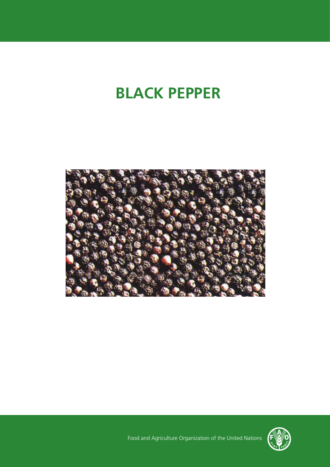# **BLACK PEPPER**





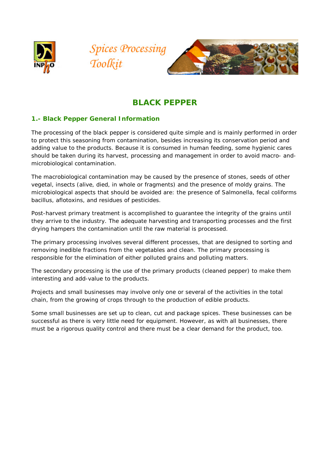





## **BLACK PEPPER**

## **1.- Black Pepper General Information**

The processing of the black pepper is considered quite simple and is mainly performed in order to protect this seasoning from contamination, besides increasing its conservation period and adding value to the products. Because it is consumed in human feeding, some hygienic cares should be taken during its harvest, processing and management in order to avoid macro- andmicrobiological contamination.

The macrobiological contamination may be caused by the presence of stones, seeds of other vegetal, insects (alive, died, in whole or fragments) and the presence of moldy grains. The microbiological aspects that should be avoided are: the presence of Salmonella, fecal coliforms bacillus, aflotoxins, and residues of pesticides.

Post-harvest primary treatment is accomplished to guarantee the integrity of the grains until they arrive to the industry. The adequate harvesting and transporting processes and the first drying hampers the contamination until the raw material is processed.

The primary processing involves several different processes, that are designed to sorting and removing inedible fractions from the vegetables and clean. The primary processing is responsible for the elimination of either polluted grains and polluting matters.

The secondary processing is the use of the primary products (cleaned pepper) to make them interesting and add-value to the products.

Projects and small businesses may involve only one or several of the activities in the total chain, from the growing of crops through to the production of edible products.

Some small businesses are set up to clean, cut and package spices. These businesses can be successful as there is very little need for equipment. However, as with all businesses, there must be a rigorous quality control and there must be a clear demand for the product, too.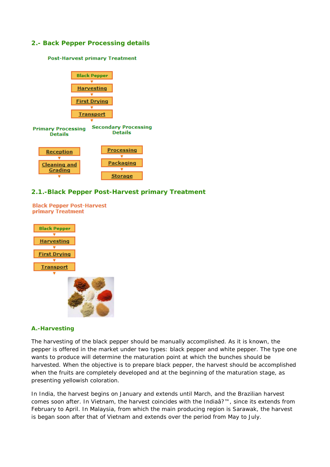## **2.- Back Pepper Processing details**

#### **Post-Harvest primary Treatment**



### **2.1.-Black Pepper Post-Harvest primary Treatment**

**Black Pepper Post-Harvest primary Treatment** 



### **A.-Harvesting**

The harvesting of the black pepper should be manually accomplished. As it is known, the pepper is offered in the market under two types: black pepper and white pepper. The type one wants to produce will determine the maturation point at which the bunches should be harvested. When the objective is to prepare black pepper, the harvest should be accomplished when the fruits are completely developed and at the beginning of the maturation stage, as presenting yellowish coloration.

In India, the harvest begins on January and extends until March, and the Brazilian harvest comes soon after. In Vietnam, the harvest coincides with the Indiaâ?™, since its extends from February to April. In Malaysia, from which the main producing region is Sarawak, the harvest is began soon after that of Vietnam and extends over the period from May to July.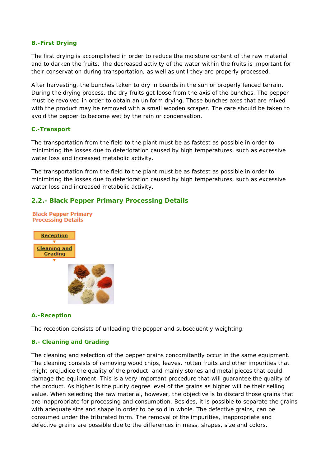## **B.-First Drying**

The first drying is accomplished in order to reduce the moisture content of the raw material and to darken the fruits. The decreased activity of the water within the fruits is important for their conservation during transportation, as well as until they are properly processed.

After harvesting, the bunches taken to dry in boards in the sun or properly fenced terrain. During the drying process, the dry fruits get loose from the axis of the bunches. The pepper must be revolved in order to obtain an uniform drying. Those bunches axes that are mixed with the product may be removed with a small wooden scraper. The care should be taken to avoid the pepper to become wet by the rain or condensation.

## **C.-Transport**

The transportation from the field to the plant must be as fastest as possible in order to minimizing the losses due to deterioration caused by high temperatures, such as excessive water loss and increased metabolic activity.

The transportation from the field to the plant must be as fastest as possible in order to minimizing the losses due to deterioration caused by high temperatures, such as excessive water loss and increased metabolic activity.

## **2.2.- Black Pepper Primary Processing Details**



### **A.-Reception**

The reception consists of unloading the pepper and subsequently weighting.

## **B.- Cleaning and Grading**

The cleaning and selection of the pepper grains concomitantly occur in the same equipment. The cleaning consists of removing wood chips, leaves, rotten fruits and other impurities that might prejudice the quality of the product, and mainly stones and metal pieces that could damage the equipment. This is a very important procedure that will guarantee the quality of the product. As higher is the purity degree level of the grains as higher will be their selling value. When selecting the raw material, however, the objective is to discard those grains that are inappropriate for processing and consumption. Besides, it is possible to separate the grains with adequate size and shape in order to be sold in whole. The defective grains, can be consumed under the triturated form. The removal of the impurities, inappropriate and defective grains are possible due to the differences in mass, shapes, size and colors.